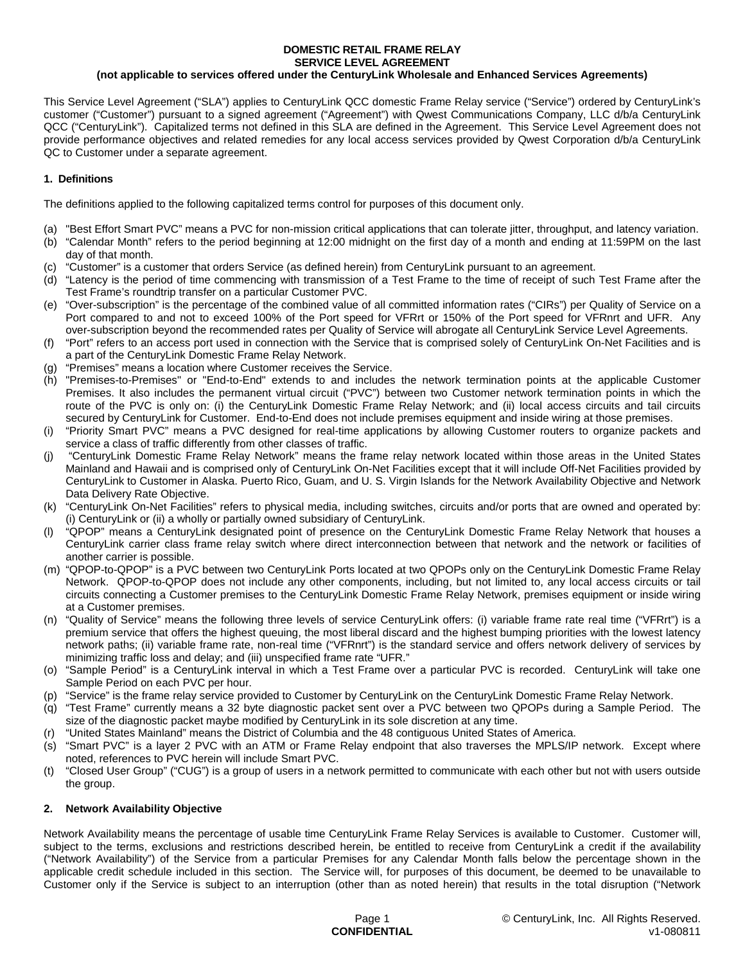#### **DOMESTIC RETAIL FRAME RELAY SERVICE LEVEL AGREEMENT**

### **(not applicable to services offered under the CenturyLink Wholesale and Enhanced Services Agreements)**

This Service Level Agreement ("SLA") applies to CenturyLink QCC domestic Frame Relay service ("Service") ordered by CenturyLink's customer ("Customer") pursuant to a signed agreement ("Agreement") with Qwest Communications Company, LLC d/b/a CenturyLink QCC ("CenturyLink"). Capitalized terms not defined in this SLA are defined in the Agreement. This Service Level Agreement does not provide performance objectives and related remedies for any local access services provided by Qwest Corporation d/b/a CenturyLink QC to Customer under a separate agreement.

## **1. Definitions**

The definitions applied to the following capitalized terms control for purposes of this document only.

- (a) "Best Effort Smart PVC" means a PVC for non-mission critical applications that can tolerate jitter, throughput, and latency variation.
- (b) "Calendar Month" refers to the period beginning at 12:00 midnight on the first day of a month and ending at 11:59PM on the last day of that month.
- (c) "Customer" is a customer that orders Service (as defined herein) from CenturyLink pursuant to an agreement.
- (d) "Latency is the period of time commencing with transmission of a Test Frame to the time of receipt of such Test Frame after the Test Frame's roundtrip transfer on a particular Customer PVC.
- (e) "Over-subscription" is the percentage of the combined value of all committed information rates ("CIRs") per Quality of Service on a Port compared to and not to exceed 100% of the Port speed for VFRrt or 150% of the Port speed for VFRnrt and UFR. Any over-subscription beyond the recommended rates per Quality of Service will abrogate all CenturyLink Service Level Agreements.
- (f) "Port" refers to an access port used in connection with the Service that is comprised solely of CenturyLink On-Net Facilities and is a part of the CenturyLink Domestic Frame Relay Network.
- (g) "Premises" means a location where Customer receives the Service.
- (h) "Premises-to-Premises" or "End-to-End" extends to and includes the network termination points at the applicable Customer Premises. It also includes the permanent virtual circuit ("PVC") between two Customer network termination points in which the route of the PVC is only on: (i) the CenturyLink Domestic Frame Relay Network; and (ii) local access circuits and tail circuits secured by CenturyLink for Customer. End-to-End does not include premises equipment and inside wiring at those premises.
- (i) "Priority Smart PVC" means a PVC designed for real-time applications by allowing Customer routers to organize packets and service a class of traffic differently from other classes of traffic.
- (j) "CenturyLink Domestic Frame Relay Network" means the frame relay network located within those areas in the United States Mainland and Hawaii and is comprised only of CenturyLink On-Net Facilities except that it will include Off-Net Facilities provided by CenturyLink to Customer in Alaska. Puerto Rico, Guam, and U. S. Virgin Islands for the Network Availability Objective and Network Data Delivery Rate Objective.
- (k) "CenturyLink On-Net Facilities" refers to physical media, including switches, circuits and/or ports that are owned and operated by: i) CenturyLink or (ii) a wholly or partially owned subsidiary of CenturyLink.
- (l) "QPOP" means a CenturyLink designated point of presence on the CenturyLink Domestic Frame Relay Network that houses a CenturyLink carrier class frame relay switch where direct interconnection between that network and the network or facilities of another carrier is possible.
- (m) "QPOP-to-QPOP" is a PVC between two CenturyLink Ports located at two QPOPs only on the CenturyLink Domestic Frame Relay Network. QPOP-to-QPOP does not include any other components, including, but not limited to, any local access circuits or tail circuits connecting a Customer premises to the CenturyLink Domestic Frame Relay Network, premises equipment or inside wiring at a Customer premises.
- (n) "Quality of Service" means the following three levels of service CenturyLink offers: (i) variable frame rate real time ("VFRrt") is a premium service that offers the highest queuing, the most liberal discard and the highest bumping priorities with the lowest latency network paths; (ii) variable frame rate, non-real time ("VFRnrt") is the standard service and offers network delivery of services by minimizing traffic loss and delay; and (iii) unspecified frame rate "UFR."
- (o) "Sample Period" is a CenturyLink interval in which a Test Frame over a particular PVC is recorded. CenturyLink will take one Sample Period on each PVC per hour.
- (p) "Service" is the frame relay service provided to Customer by CenturyLink on the CenturyLink Domestic Frame Relay Network.
- (q) "Test Frame" currently means a 32 byte diagnostic packet sent over a PVC between two QPOPs during a Sample Period. The size of the diagnostic packet maybe modified by CenturyLink in its sole discretion at any time.
- "United States Mainland" means the District of Columbia and the 48 contiguous United States of America.
- (s) "Smart PVC" is a layer 2 PVC with an ATM or Frame Relay endpoint that also traverses the MPLS/IP network. Except where noted, references to PVC herein will include Smart PVC.
- (t) "Closed User Group" ("CUG") is a group of users in a network permitted to communicate with each other but not with users outside the group.

### **2. Network Availability Objective**

Network Availability means the percentage of usable time CenturyLink Frame Relay Services is available to Customer. Customer will, subject to the terms, exclusions and restrictions described herein, be entitled to receive from CenturyLink a credit if the availability ("Network Availability") of the Service from a particular Premises for any Calendar Month falls below the percentage shown in the applicable credit schedule included in this section. The Service will, for purposes of this document, be deemed to be unavailable to Customer only if the Service is subject to an interruption (other than as noted herein) that results in the total disruption ("Network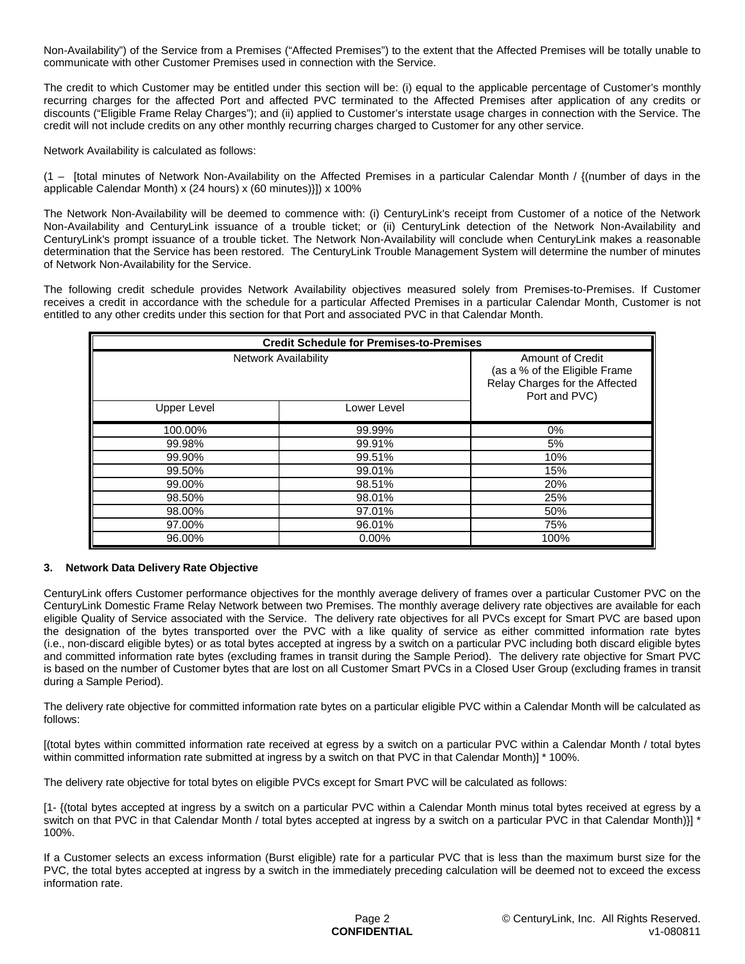Non-Availability") of the Service from a Premises ("Affected Premises") to the extent that the Affected Premises will be totally unable to communicate with other Customer Premises used in connection with the Service.

The credit to which Customer may be entitled under this section will be: (i) equal to the applicable percentage of Customer's monthly recurring charges for the affected Port and affected PVC terminated to the Affected Premises after application of any credits or discounts ("Eligible Frame Relay Charges"); and (ii) applied to Customer's interstate usage charges in connection with the Service. The credit will not include credits on any other monthly recurring charges charged to Customer for any other service.

Network Availability is calculated as follows:

(1 – [total minutes of Network Non-Availability on the Affected Premises in a particular Calendar Month / {(number of days in the applicable Calendar Month) x (24 hours) x (60 minutes)}]) x 100%

The Network Non-Availability will be deemed to commence with: (i) CenturyLink's receipt from Customer of a notice of the Network Non-Availability and CenturyLink issuance of a trouble ticket; or (ii) CenturyLink detection of the Network Non-Availability and CenturyLink's prompt issuance of a trouble ticket. The Network Non-Availability will conclude when CenturyLink makes a reasonable determination that the Service has been restored. The CenturyLink Trouble Management System will determine the number of minutes of Network Non-Availability for the Service.

The following credit schedule provides Network Availability objectives measured solely from Premises-to-Premises. If Customer receives a credit in accordance with the schedule for a particular Affected Premises in a particular Calendar Month, Customer is not entitled to any other credits under this section for that Port and associated PVC in that Calendar Month.

| <b>Credit Schedule for Premises-to-Premises</b> |             |                                                                                                             |
|-------------------------------------------------|-------------|-------------------------------------------------------------------------------------------------------------|
| <b>Network Availability</b>                     |             | <b>Amount of Credit</b><br>(as a % of the Eligible Frame<br>Relay Charges for the Affected<br>Port and PVC) |
| <b>Upper Level</b>                              | Lower Level |                                                                                                             |
| 100.00%                                         | 99.99%      | 0%                                                                                                          |
| 99.98%                                          | 99.91%      | 5%                                                                                                          |
| 99.90%                                          | 99.51%      | 10%                                                                                                         |
| 99.50%                                          | 99.01%      | 15%                                                                                                         |
| 99.00%                                          | 98.51%      | 20%                                                                                                         |
| 98.50%                                          | 98.01%      | 25%                                                                                                         |
| 98.00%                                          | 97.01%      | 50%                                                                                                         |
| 97.00%                                          | 96.01%      | 75%                                                                                                         |
| 96.00%                                          | $0.00\%$    | 100%                                                                                                        |

### **3. Network Data Delivery Rate Objective**

CenturyLink offers Customer performance objectives for the monthly average delivery of frames over a particular Customer PVC on the CenturyLink Domestic Frame Relay Network between two Premises. The monthly average delivery rate objectives are available for each eligible Quality of Service associated with the Service. The delivery rate objectives for all PVCs except for Smart PVC are based upon the designation of the bytes transported over the PVC with a like quality of service as either committed information rate bytes (i.e., non-discard eligible bytes) or as total bytes accepted at ingress by a switch on a particular PVC including both discard eligible bytes and committed information rate bytes (excluding frames in transit during the Sample Period). The delivery rate objective for Smart PVC is based on the number of Customer bytes that are lost on all Customer Smart PVCs in a Closed User Group (excluding frames in transit during a Sample Period).

The delivery rate objective for committed information rate bytes on a particular eligible PVC within a Calendar Month will be calculated as follows:

[(total bytes within committed information rate received at egress by a switch on a particular PVC within a Calendar Month / total bytes within committed information rate submitted at ingress by a switch on that PVC in that Calendar Month)] \* 100%.

The delivery rate objective for total bytes on eligible PVCs except for Smart PVC will be calculated as follows:

[1- {(total bytes accepted at ingress by a switch on a particular PVC within a Calendar Month minus total bytes received at egress by a switch on that PVC in that Calendar Month / total bytes accepted at ingress by a switch on a particular PVC in that Calendar Month)}] \* 100%.

If a Customer selects an excess information (Burst eligible) rate for a particular PVC that is less than the maximum burst size for the PVC, the total bytes accepted at ingress by a switch in the immediately preceding calculation will be deemed not to exceed the excess information rate.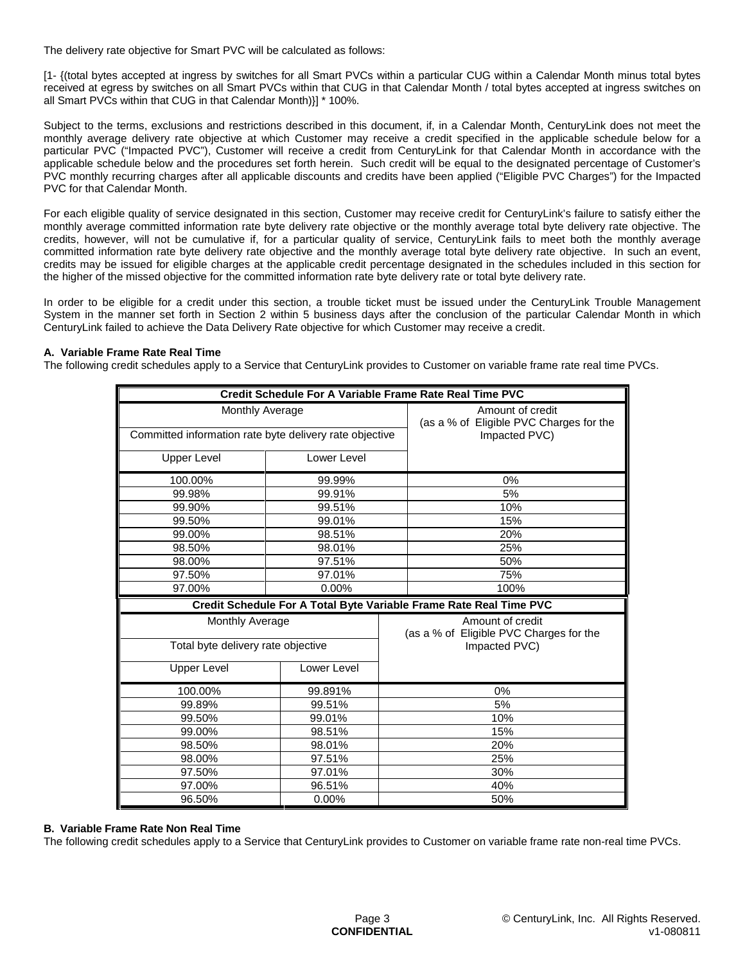The delivery rate objective for Smart PVC will be calculated as follows:

[1- {(total bytes accepted at ingress by switches for all Smart PVCs within a particular CUG within a Calendar Month minus total bytes received at egress by switches on all Smart PVCs within that CUG in that Calendar Month / total bytes accepted at ingress switches on all Smart PVCs within that CUG in that Calendar Month)}] \* 100%.

Subject to the terms, exclusions and restrictions described in this document, if, in a Calendar Month, CenturyLink does not meet the monthly average delivery rate objective at which Customer may receive a credit specified in the applicable schedule below for a particular PVC ("Impacted PVC"), Customer will receive a credit from CenturyLink for that Calendar Month in accordance with the applicable schedule below and the procedures set forth herein. Such credit will be equal to the designated percentage of Customer's PVC monthly recurring charges after all applicable discounts and credits have been applied ("Eligible PVC Charges") for the Impacted PVC for that Calendar Month.

For each eligible quality of service designated in this section, Customer may receive credit for CenturyLink's failure to satisfy either the monthly average committed information rate byte delivery rate objective or the monthly average total byte delivery rate objective. The credits, however, will not be cumulative if, for a particular quality of service, CenturyLink fails to meet both the monthly average committed information rate byte delivery rate objective and the monthly average total byte delivery rate objective. In such an event, credits may be issued for eligible charges at the applicable credit percentage designated in the schedules included in this section for the higher of the missed objective for the committed information rate byte delivery rate or total byte delivery rate.

In order to be eligible for a credit under this section, a trouble ticket must be issued under the CenturyLink Trouble Management System in the manner set forth in Section 2 within 5 business days after the conclusion of the particular Calendar Month in which CenturyLink failed to achieve the Data Delivery Rate objective for which Customer may receive a credit.

# **A. Variable Frame Rate Real Time**

The following credit schedules apply to a Service that CenturyLink provides to Customer on variable frame rate real time PVCs.

| Credit Schedule For A Variable Frame Rate Real Time PVC                    |             |                                                                              |  |
|----------------------------------------------------------------------------|-------------|------------------------------------------------------------------------------|--|
| Monthly Average<br>Committed information rate byte delivery rate objective |             | Amount of credit<br>(as a % of Eligible PVC Charges for the<br>Impacted PVC) |  |
|                                                                            |             |                                                                              |  |
| <b>Upper Level</b>                                                         | Lower Level |                                                                              |  |
| 100.00%                                                                    | 99.99%      | 0%                                                                           |  |
| 99.98%                                                                     | 99.91%      | 5%                                                                           |  |
| 99.90%                                                                     | 99.51%      | 10%                                                                          |  |
| 99.50%                                                                     | 99.01%      | 15%                                                                          |  |
| 99.00%                                                                     | 98.51%      | 20%                                                                          |  |
| 98.50%                                                                     | 98.01%      | 25%                                                                          |  |
| 98.00%                                                                     | 97.51%      | 50%                                                                          |  |
| 97.50%                                                                     | 97.01%      | 75%                                                                          |  |
| 97.00%                                                                     | $0.00\%$    | 100%                                                                         |  |
| Credit Schedule For A Total Byte Variable Frame Rate Real Time PVC         |             |                                                                              |  |
| <b>Monthly Average</b>                                                     |             | Amount of credit<br>(as a % of Eligible PVC Charges for the                  |  |
| Total byte delivery rate objective                                         |             | Impacted PVC)                                                                |  |
| <b>Upper Level</b>                                                         | Lower Level |                                                                              |  |
|                                                                            |             |                                                                              |  |
| 100.00%                                                                    | 99.891%     | 0%                                                                           |  |
| 99.89%                                                                     | 99.51%      | 5%                                                                           |  |
| 99.50%                                                                     | 99.01%      | 10%                                                                          |  |
| 99.00%                                                                     | 98.51%      | 15%                                                                          |  |
| 98.50%                                                                     | 98.01%      | 20%                                                                          |  |
| 98.00%                                                                     | 97.51%      | 25%                                                                          |  |
| 97.50%                                                                     | 97.01%      | 30%                                                                          |  |
| 97.00%                                                                     | 96.51%      | 40%                                                                          |  |

### **B. Variable Frame Rate Non Real Time**

The following credit schedules apply to a Service that CenturyLink provides to Customer on variable frame rate non-real time PVCs.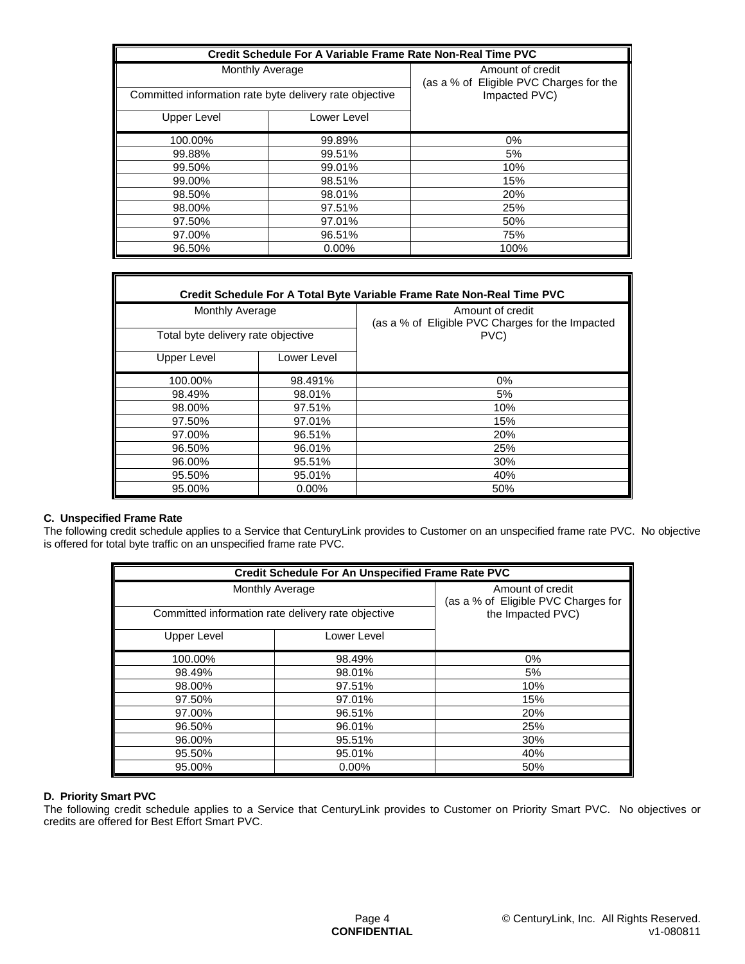| Credit Schedule For A Variable Frame Rate Non-Real Time PVC                |             |                                                                              |
|----------------------------------------------------------------------------|-------------|------------------------------------------------------------------------------|
| Monthly Average<br>Committed information rate byte delivery rate objective |             | Amount of credit<br>(as a % of Eligible PVC Charges for the<br>Impacted PVC) |
| Upper Level                                                                | Lower Level |                                                                              |
| 100.00%                                                                    | 99.89%      | 0%                                                                           |
| 99.88%                                                                     | 99.51%      | 5%                                                                           |
| 99.50%                                                                     | 99.01%      | 10%                                                                          |
| 99.00%                                                                     | 98.51%      | 15%                                                                          |
| 98.50%                                                                     | 98.01%      | 20%                                                                          |
| 98.00%                                                                     | 97.51%      | 25%                                                                          |
| 97.50%                                                                     | 97.01%      | 50%                                                                          |
| 97.00%                                                                     | 96.51%      | 75%                                                                          |
| 96.50%                                                                     | $0.00\%$    | 100%                                                                         |

| Credit Schedule For A Total Byte Variable Frame Rate Non-Real Time PVC |             |                                                                      |  |
|------------------------------------------------------------------------|-------------|----------------------------------------------------------------------|--|
| <b>Monthly Average</b>                                                 |             | Amount of credit<br>(as a % of Eligible PVC Charges for the Impacted |  |
| Total byte delivery rate objective                                     |             | PVC)                                                                 |  |
| Upper Level                                                            | Lower Level |                                                                      |  |
| 100.00%                                                                | 98.491%     | 0%                                                                   |  |
| 98.49%                                                                 | 98.01%      | 5%                                                                   |  |
| 98.00%                                                                 | 97.51%      | 10%                                                                  |  |
| 97.50%                                                                 | 97.01%      | 15%                                                                  |  |
| 97.00%                                                                 | 96.51%      | 20%                                                                  |  |
| 96.50%                                                                 | 96.01%      | 25%                                                                  |  |
| 96.00%                                                                 | 95.51%      | 30%                                                                  |  |
| 95.50%                                                                 | 95.01%      | 40%                                                                  |  |
| 95.00%                                                                 | $0.00\%$    | 50%                                                                  |  |

### **C. Unspecified Frame Rate**

The following credit schedule applies to a Service that CenturyLink provides to Customer on an unspecified frame rate PVC. No objective is offered for total byte traffic on an unspecified frame rate PVC.

| Credit Schedule For An Unspecified Frame Rate PVC  |             |                                                         |
|----------------------------------------------------|-------------|---------------------------------------------------------|
| Monthly Average                                    |             | Amount of credit<br>(as a % of Eligible PVC Charges for |
| Committed information rate delivery rate objective |             | the Impacted PVC)                                       |
| <b>Upper Level</b>                                 | Lower Level |                                                         |
| 100.00%                                            | 98.49%      | 0%                                                      |
| 98.49%                                             | 98.01%      | 5%                                                      |
| 98.00%                                             | 97.51%      | 10%                                                     |
| 97.50%                                             | 97.01%      | 15%                                                     |
| 97.00%                                             | 96.51%      | 20%                                                     |
| 96.50%                                             | 96.01%      | 25%                                                     |
| 96.00%                                             | 95.51%      | 30%                                                     |
| 95.50%                                             | 95.01%      | 40%                                                     |
| 95.00%                                             | 0.00%       | 50%                                                     |

## **D. Priority Smart PVC**

The following credit schedule applies to a Service that CenturyLink provides to Customer on Priority Smart PVC. No objectives or credits are offered for Best Effort Smart PVC.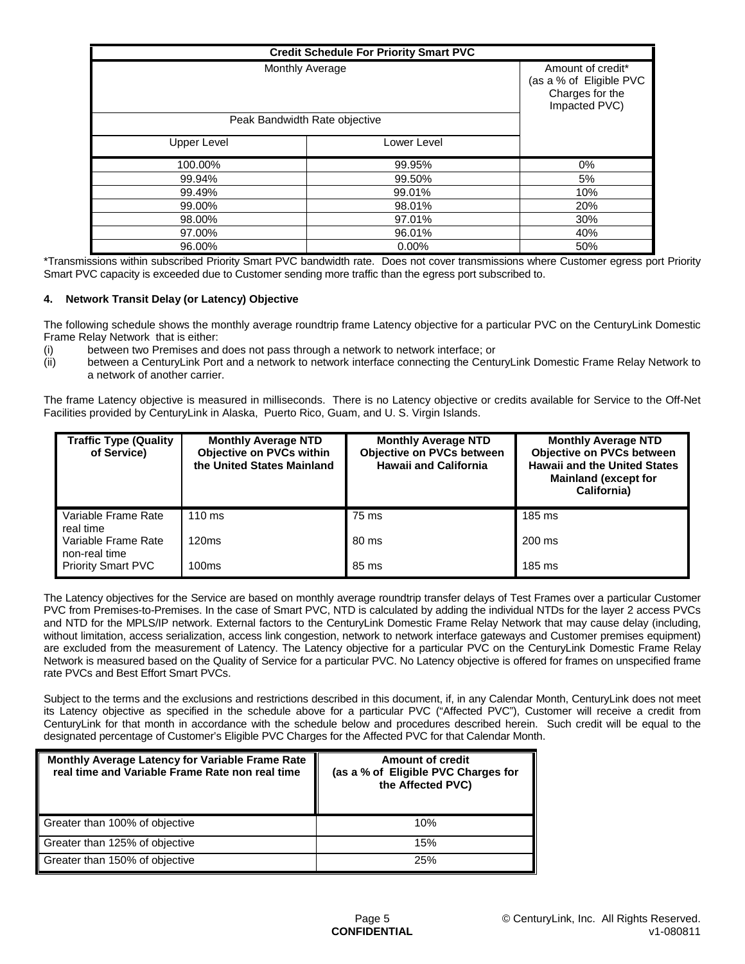| <b>Credit Schedule For Priority Smart PVC</b> |                 |                                                                                  |
|-----------------------------------------------|-----------------|----------------------------------------------------------------------------------|
|                                               | Monthly Average | Amount of credit*<br>(as a % of Eligible PVC<br>Charges for the<br>Impacted PVC) |
| Peak Bandwidth Rate objective                 |                 |                                                                                  |
| Upper Level                                   | Lower Level     |                                                                                  |
| 100.00%                                       | 99.95%          | $0\%$                                                                            |
| 99.94%                                        | 99.50%          | 5%                                                                               |
| 99.49%                                        | 99.01%          | 10%                                                                              |
| 99.00%                                        | 98.01%          | 20%                                                                              |
| 98.00%                                        | 97.01%          | 30%                                                                              |
| 97.00%                                        | 96.01%          | 40%                                                                              |
| 96.00%                                        | $0.00\%$        | 50%                                                                              |

\*Transmissions within subscribed Priority Smart PVC bandwidth rate. Does not cover transmissions where Customer egress port Priority Smart PVC capacity is exceeded due to Customer sending more traffic than the egress port subscribed to.

# **4. Network Transit Delay (or Latency) Objective**

The following schedule shows the monthly average roundtrip frame Latency objective for a particular PVC on the CenturyLink Domestic Frame Relay Network that is either:

- (i) between two Premises and does not pass through a network to network interface; or
- (ii) between a CenturyLink Port and a network to network interface connecting the CenturyLink Domestic Frame Relay Network to a network of another carrier.

The frame Latency objective is measured in milliseconds. There is no Latency objective or credits available for Service to the Off-Net Facilities provided by CenturyLink in Alaska, Puerto Rico, Guam, and U. S. Virgin Islands.

| <b>Traffic Type (Quality</b><br>of Service) | <b>Monthly Average NTD</b><br><b>Objective on PVCs within</b><br>the United States Mainland | <b>Monthly Average NTD</b><br><b>Objective on PVCs between</b><br><b>Hawaii and California</b> | <b>Monthly Average NTD</b><br>Objective on PVCs between<br><b>Hawaii and the United States</b><br><b>Mainland (except for</b><br>California) |
|---------------------------------------------|---------------------------------------------------------------------------------------------|------------------------------------------------------------------------------------------------|----------------------------------------------------------------------------------------------------------------------------------------------|
| Variable Frame Rate<br>real time            | $110 \text{ ms}$                                                                            | 75 ms                                                                                          | 185 ms                                                                                                                                       |
| Variable Frame Rate<br>non-real time        | 120ms                                                                                       | 80 ms                                                                                          | 200 ms                                                                                                                                       |
| <b>Priority Smart PVC</b>                   | 100ms                                                                                       | 85 ms                                                                                          | 185 ms                                                                                                                                       |

The Latency objectives for the Service are based on monthly average roundtrip transfer delays of Test Frames over a particular Customer PVC from Premises-to-Premises. In the case of Smart PVC, NTD is calculated by adding the individual NTDs for the layer 2 access PVCs and NTD for the MPLS/IP network. External factors to the CenturyLink Domestic Frame Relay Network that may cause delay (including, without limitation, access serialization, access link congestion, network to network interface gateways and Customer premises equipment) are excluded from the measurement of Latency. The Latency objective for a particular PVC on the CenturyLink Domestic Frame Relay Network is measured based on the Quality of Service for a particular PVC. No Latency objective is offered for frames on unspecified frame rate PVCs and Best Effort Smart PVCs.

Subject to the terms and the exclusions and restrictions described in this document, if, in any Calendar Month, CenturyLink does not meet its Latency objective as specified in the schedule above for a particular PVC ("Affected PVC"), Customer will receive a credit from CenturyLink for that month in accordance with the schedule below and procedures described herein. Such credit will be equal to the designated percentage of Customer's Eligible PVC Charges for the Affected PVC for that Calendar Month.

| <b>Monthly Average Latency for Variable Frame Rate</b><br>real time and Variable Frame Rate non real time | <b>Amount of credit</b><br>(as a % of Eligible PVC Charges for<br>the Affected PVC) |
|-----------------------------------------------------------------------------------------------------------|-------------------------------------------------------------------------------------|
| Greater than 100% of objective                                                                            | 10%                                                                                 |
| Greater than 125% of objective                                                                            | 15%                                                                                 |
| Greater than 150% of objective                                                                            | 25%                                                                                 |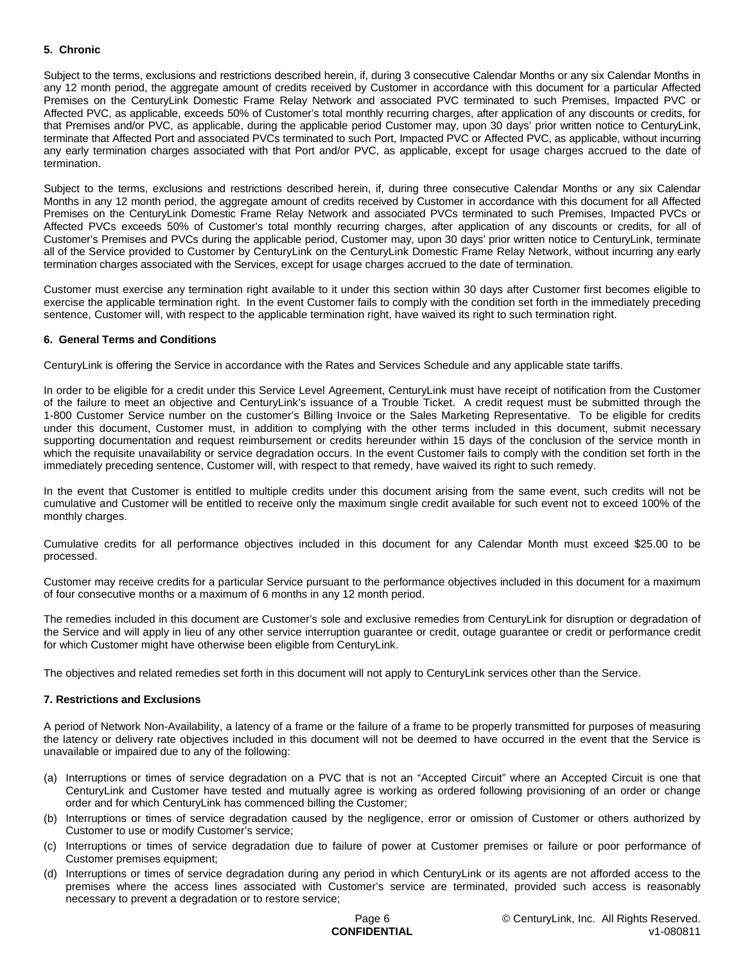# **5. Chronic**

Subject to the terms, exclusions and restrictions described herein, if, during 3 consecutive Calendar Months or any six Calendar Months in any 12 month period, the aggregate amount of credits received by Customer in accordance with this document for a particular Affected Premises on the CenturyLink Domestic Frame Relay Network and associated PVC terminated to such Premises, Impacted PVC or Affected PVC, as applicable, exceeds 50% of Customer's total monthly recurring charges, after application of any discounts or credits, for that Premises and/or PVC, as applicable, during the applicable period Customer may, upon 30 days' prior written notice to CenturyLink, terminate that Affected Port and associated PVCs terminated to such Port, Impacted PVC or Affected PVC, as applicable, without incurring any early termination charges associated with that Port and/or PVC, as applicable, except for usage charges accrued to the date of termination.

Subject to the terms, exclusions and restrictions described herein, if, during three consecutive Calendar Months or any six Calendar Months in any 12 month period, the aggregate amount of credits received by Customer in accordance with this document for all Affected Premises on the CenturyLink Domestic Frame Relay Network and associated PVCs terminated to such Premises, Impacted PVCs or Affected PVCs exceeds 50% of Customer's total monthly recurring charges, after application of any discounts or credits, for all of Customer's Premises and PVCs during the applicable period, Customer may, upon 30 days' prior written notice to CenturyLink, terminate all of the Service provided to Customer by CenturyLink on the CenturyLink Domestic Frame Relay Network, without incurring any early termination charges associated with the Services, except for usage charges accrued to the date of termination.

Customer must exercise any termination right available to it under this section within 30 days after Customer first becomes eligible to exercise the applicable termination right. In the event Customer fails to comply with the condition set forth in the immediately preceding sentence, Customer will, with respect to the applicable termination right, have waived its right to such termination right.

# **6. General Terms and Conditions**

CenturyLink is offering the Service in accordance with the Rates and Services Schedule and any applicable state tariffs.

In order to be eligible for a credit under this Service Level Agreement, CenturyLink must have receipt of notification from the Customer of the failure to meet an objective and CenturyLink's issuance of a Trouble Ticket. A credit request must be submitted through the 1-800 Customer Service number on the customer's Billing Invoice or the Sales Marketing Representative. To be eligible for credits under this document, Customer must, in addition to complying with the other terms included in this document, submit necessary supporting documentation and request reimbursement or credits hereunder within 15 days of the conclusion of the service month in which the requisite unavailability or service degradation occurs. In the event Customer fails to comply with the condition set forth in the immediately preceding sentence, Customer will, with respect to that remedy, have waived its right to such remedy.

In the event that Customer is entitled to multiple credits under this document arising from the same event, such credits will not be cumulative and Customer will be entitled to receive only the maximum single credit available for such event not to exceed 100% of the monthly charges.

Cumulative credits for all performance objectives included in this document for any Calendar Month must exceed \$25.00 to be processed.

Customer may receive credits for a particular Service pursuant to the performance objectives included in this document for a maximum of four consecutive months or a maximum of 6 months in any 12 month period.

The remedies included in this document are Customer's sole and exclusive remedies from CenturyLink for disruption or degradation of the Service and will apply in lieu of any other service interruption guarantee or credit, outage guarantee or credit or performance credit for which Customer might have otherwise been eligible from CenturyLink.

The objectives and related remedies set forth in this document will not apply to CenturyLink services other than the Service.

# **7. Restrictions and Exclusions**

A period of Network Non-Availability, a latency of a frame or the failure of a frame to be properly transmitted for purposes of measuring the latency or delivery rate objectives included in this document will not be deemed to have occurred in the event that the Service is unavailable or impaired due to any of the following:

- (a) Interruptions or times of service degradation on a PVC that is not an "Accepted Circuit" where an Accepted Circuit is one that CenturyLink and Customer have tested and mutually agree is working as ordered following provisioning of an order or change order and for which CenturyLink has commenced billing the Customer;
- (b) Interruptions or times of service degradation caused by the negligence, error or omission of Customer or others authorized by Customer to use or modify Customer's service;
- (c) Interruptions or times of service degradation due to failure of power at Customer premises or failure or poor performance of Customer premises equipment;
- (d) Interruptions or times of service degradation during any period in which CenturyLink or its agents are not afforded access to the premises where the access lines associated with Customer's service are terminated, provided such access is reasonably necessary to prevent a degradation or to restore service;